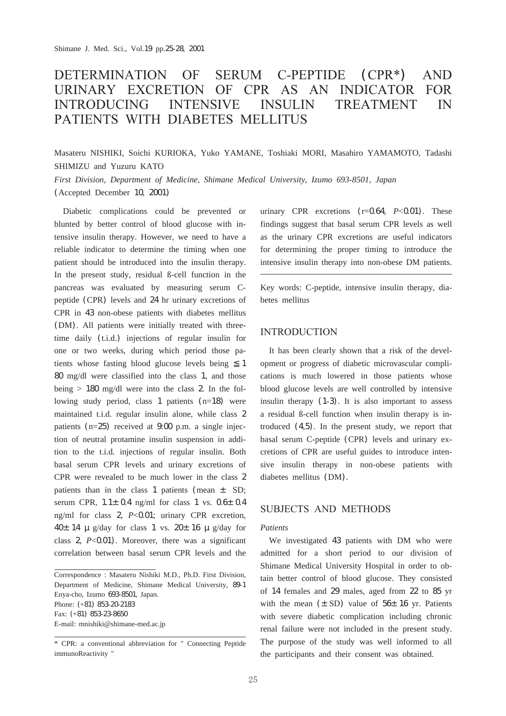#### **DETERMINATION** OF SERUM C-PEPTIDE (CPR\*) **AND** URINARY EXCRETION OF CPR AS AN INDICATOR FOR **INTRODUCING** G INTENSIVE INS **INSULIN TREATMENT**  $IN$ PATIENTS WITH DIABETES MELLITUS

Masateru NISHIKI, Soichi KURIOKA, Yuko YAMANE, Toshiaki MORI, Masahiro YAMAMOTO, Tadashi SHIMIZU and Yuzuru KATO

*First Division, Department of Medicine, Shimane Medical University, Izumo 693-8501, Japan* (Accepted December 10, 2001)

Diabetic complications could be prevented or blunted by better control of blood glucose with intensive insulin therapy. However, we need to have a reliable indicator to determine the timing when one patient should be introduced into the insulin therapy. In the present study, residual ß-cell function in the pancreas was evaluated by measuring serum Cpeptide (CPR) levels and 24 hr urinary excretions of CPR in 43 non-obese patients with diabetes mellitus (DM). All patients were initially treated with threetime daily (t.i.d.) injections of regular insulin for one or two weeks, during which period those patients whose fasting blood glucose levels being 1 80 mg/dl were classified into the class 1, and those being  $> 180$  mg/dl were into the class 2. In the following study period, class 1 patients (n=18) were maintained t.i.d. regular insulin alone, while class 2 patients  $(n=25)$  received at  $9.00$  p.m. a single injection of neutral protamine insulin suspension in addition to the t.i.d. injections of regular insulin. Both basal serum CPR levels and urinary excretions of CPR were revealed to be much lower in the class 2 patients than in the class 1 patients (mean  $\pm$  SD; serum CPR,  $1.1\pm$  0.4 ng/ml for class 1 vs. 0.6 $\pm$  0.4 ng/ml for class 2, *P*<0.01; urinary CPR excretion,  $40±14 \mu g/day$  for class 1 vs.  $20±16 \mu g/day$  for class  $2, P < 0.01$ . Moreover, there was a significant correlation between basal serum CPR levels and the

Correspondence : Masateru Nishiki M.D., Ph.D. First Division, Department of Medicine, Shimane Medical University, 89-1 Enya-cho, Izumo 693-8501, Japan. Phone: (+81) 853-20-2183 Fax: (+81) 853-23-8650 E-mail: mnishiki@shimane-med.ac.jp

urinary CPR excretions (r=0.64, *P*<0.01). These findings suggest that basal serum CPR levels as well as the urinary CPR excretions are useful indicators for determining the proper timing to introduce the intensive insulin therapy into non-obese DM patients.

Key words: C-peptide, intensive insulin therapy, diabetes mellitus

# **INTRODUCTION**

It has been clearly shown that a risk of the development or progress of diabetic microvascular complications is much lowered in those patients whose blood glucose levels are well controlled by intensive insulin therapy (1-3). It is also important to assess a residual ß-cell function when insulin therapy is introduced (4,5). In the present study, we report that basal serum C-peptide (CPR) levels and urinary excretions of CPR are useful guides to introduce intensive insulin therapy in non-obese patients with diabetes mellitus (DM).

# SUBJECTS AND METHODS

#### *Patients*

We investigated 43 patients with DM who were admitted for a short period to our division of Shimane Medical University Hospital in order to obtain better control of blood glucose. They consisted of 14 females and 29 males, aged from 22 to 85 yr with the mean  $(\pm SD)$  value of 56 $\pm 16$  yr. Patients with severe diabetic complication including chronic renal failure were not included in the present study. The purpose of the study was well informed to all the participants and their consent was obtained.

<sup>\*</sup> CPR: a conventional abbreviation for " Connecting Peptide immunoReactivity "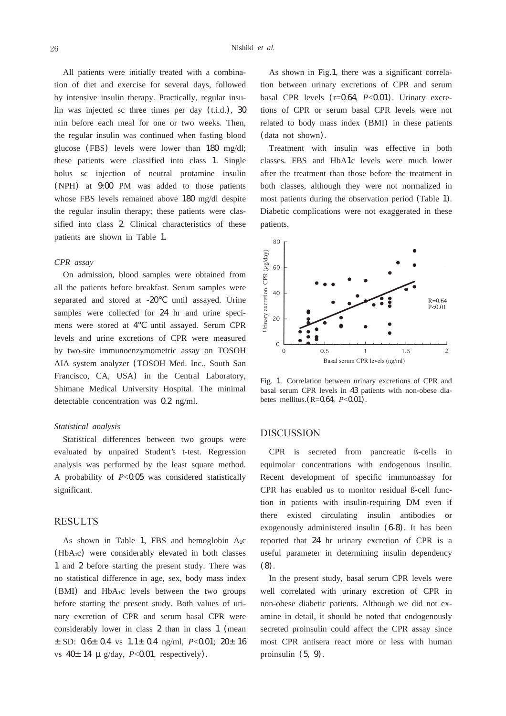All patients were initially treated with a combination of diet and exercise for several days, followed by intensive insulin therapy. Practically, regular insulin was injected sc three times per day (t.i.d.), 30 min before each meal for one or two weeks. Then, the regular insulin was continued when fasting blood glucose (FBS) levels were lower than 180 mg/dl; these patients were classified into class 1. Single bolus sc injection of neutral protamine insulin (NPH) at 9:00 PM was added to those patients whose FBS levels remained above 180 mg/dl despite the regular insulin therapy; these patients were classified into class 2. Clinical characteristics of these patients are shown in Table 1.

#### *CPR assay*

On admission, blood samples were obtained from all the patients before breakfast. Serum samples were separated and stored at -20 until assayed. Urine samples were collected for 24 hr and urine specimens were stored at 4 until assayed. Serum CPR levels and urine excretions of CPR were measured by two-site immunoenzymometric assay on TOSOH AIA system analyzer (TOSOH Med. Inc., South San Francisco, CA, USA) in the Central Laboratory, Shimane Medical University Hospital. The minimal detectable concentration was 0.2 ng/ml.

### *Statistical analysis*

Statistical differences between two groups were evaluated by unpaired Student's t-test. Regression analysis was performed by the least square method. A probability of *P*<0.05 was considered statistically significant.

### RESULTS

As shown in Table 1, FBS and hemoglobin  $A_1c$ (HbA1c) were considerably elevated in both classes 1 and 2 before starting the present study. There was no statistical difference in age, sex, body mass index (BMI) and  $HbA_1c$  levels between the two groups before starting the present study. Both values of urinary excretion of CPR and serum basal CPR were considerably lower in class 2 than in class 1 (mean ±SD: 0.6±0.4 vs 1.1±0.4 ng/ml, *P*<0.01; 20±16 vs 40±14 μg/day, *P*<0.01, respectively).

As shown in Fig.1, there was a significant correlation between urinary excretions of CPR and serum basal CPR levels (r=0.64, *P*<0.01). Urinary excretions of CPR or serum basal CPR levels were not related to body mass index (BMI) in these patients (data not shown).

Treatment with insulin was effective in both classes. FBS and HbA1c levels were much lower after the treatment than those before the treatment in both classes, although they were not normalized in most patients during the observation period (Table 1). Diabetic complications were not exaggerated in these patients.



Fig. 1. Correlation between urinary excretions of CPR and basal serum CPR levels in 43 patients with non-obese diabetes mellitus.(R=0.64, *P*<0.01).

### **DISCUSSION**

CPR is secreted from pancreatic ß-cells in equimolar concentrations with endogenous insulin. Recent development of specific immunoassay for CPR has enabled us to monitor residual ß-cell function in patients with insulin-requiring DM even if there existed circulating insulin antibodies or exogenously administered insulin (6-8). It has been reported that 24 hr urinary excretion of CPR is a useful parameter in determining insulin dependency (8).

In the present study, basal serum CPR levels were well correlated with urinary excretion of CPR in non-obese diabetic patients. Although we did not examine in detail, it should be noted that endogenously secreted proinsulin could affect the CPR assay since most CPR antisera react more or less with human proinsulin (5, 9).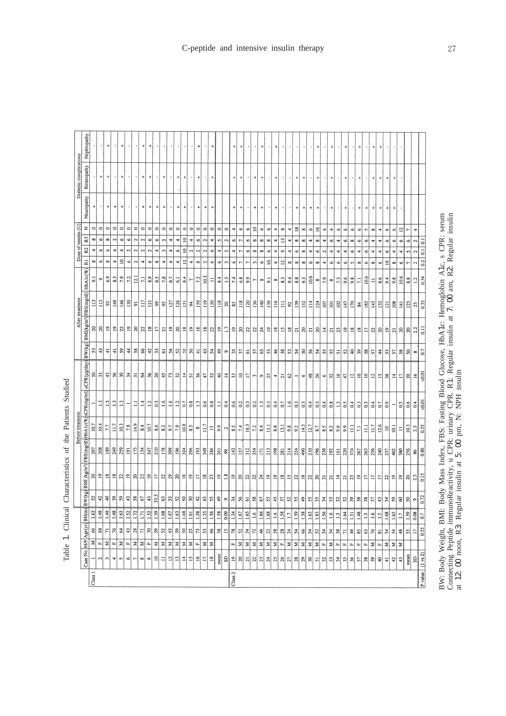|                        | Nephropathy                                                                  |                    |                | $\ddot{}$                        |                 | $\ddot{}$                  |                |                         | $\ddot{}$          |                                  |                 |                                  |                |                 |                 |                  |                    |                |                  |                |                      | $\overline{1}$ | $\ddot{}$                  |                |                                               | $\ddot{}$      |                 | $\ddot{}$       |                  |                  |                   |                  |                      | 4                          |                         |                |                 | 4                 |                 | $\ddot{}$                        |                 | $\ddot{}$       | $\ddot{}$               |                                  |                |                            |                |                   |                  |
|------------------------|------------------------------------------------------------------------------|--------------------|----------------|----------------------------------|-----------------|----------------------------|----------------|-------------------------|--------------------|----------------------------------|-----------------|----------------------------------|----------------|-----------------|-----------------|------------------|--------------------|----------------|------------------|----------------|----------------------|----------------|----------------------------|----------------|-----------------------------------------------|----------------|-----------------|-----------------|------------------|------------------|-------------------|------------------|----------------------|----------------------------|-------------------------|----------------|-----------------|-------------------|-----------------|----------------------------------|-----------------|-----------------|-------------------------|----------------------------------|----------------|----------------------------|----------------|-------------------|------------------|
| Diabetic complications | Retinopathy                                                                  |                    | $^{+}$         | $\begin{array}{c} + \end{array}$ |                 | $^{+}$                     |                |                         | $\ddot{}$          | $\begin{array}{c} + \end{array}$ |                 | $\ddot{}$                        |                | $^{+}$          | $\ddot{}$       |                  | $\ddot{}$          |                | $\ddot{}$        |                |                      | $\ddot{}$      | $\ddot{}$                  | ٠              | $\begin{array}{c} + \end{array}$              | $^{+}$         |                 | $\ddot{}$       |                  |                  | $^{+}$            | $\ddot{}$        |                      | $\ddot{}$                  |                         | $\ddot{}$      |                 | $\ddot{}$         |                 | $\ddot{}$                        |                 | $^\mathrm{+}$   | $^{\mathrm{+}}$         | $\begin{array}{c} + \end{array}$ | $^{+}$         |                            |                |                   |                  |
|                        | Neuropathy                                                                   |                    |                | $\ddot{}$                        | $\ddot{}$       | $\div$                     |                |                         | +                  | $\ddot{}$                        | $\ddot{}$       | $\begin{array}{c} + \end{array}$ |                | $\ddot{}$       | $\ddot{}$       |                  | $\ddot{}$          | $\ddot{}$      | $\ddot{}$        |                |                      | $\ddot{}$      | $\ddot{}$                  |                | $\ddot{}$                                     | $\ddot{}$      |                 | $\ddot{}$       |                  |                  | $\ddot{}$         | $\ddot{}$        | $\ddot{\phantom{1}}$ | $\ddot{}$                  |                         | $\ddot{}$      |                 | $\ddot{}$         |                 | $\begin{array}{c} + \end{array}$ | $\ddot{}$       | $\ddot{}$       | $\ddot{}$               | $\ddot{}$                        | $\ddot{}$      |                            |                |                   |                  |
|                        | z                                                                            | $\circ$            | $\circ$        | $\circ$                          | $\circ$         | $\circ$                    | $\circ$        | $\circ$                 | $\circ$            | $\circ$                          | $\circ$         | $\circ$                          | $\circ$        | $\circ$         | $\circ$         | $\circ$          | $\circ$            | $\circ$        | $\circ$          | $\circ$        | $\circ$              | A              | $\bullet$                  | $\bullet$      | $\overline{10}$                               | $\bullet$      | $\bullet$       | Ħ               | $\infty$         | 4                | $\overline{18}$   | $^{\circ}$       | $\circ$              | $\overline{16}$            | $\check{\phantom{a}}$   | 4              | $\bullet$       | $\circ$           | Ó               | $\bullet$                        | 5               | $\infty$        | 4                       | 6                                | s              | $\overline{a}$             | $\overline{r}$ | 4                 |                  |
|                        | R <sub>3</sub>                                                               | $\infty$           | $\bullet$      | $\infty$                         | $\sim$          | $\bullet$                  | $\circ$        | $\overline{\mathbf{c}}$ | $\mathbf{\hat{c}}$ | o                                | P               | S                                | 4              | 4               | $\overline{a}$  | 4                | $\bullet$          | 2              | 4                | S              | 2                    | $\bullet$      | $\overline{ }$             | $\bullet$      | $\infty$                                      | $\infty$       | $\infty$        | A               | $\mathbf{r}$     | A                | $\infty$          | $\infty$         | 4                    | $\infty$                   | 4                       | $\bullet$      | Ħ               | $\check{\bullet}$ | $\infty$        | $\bullet$                        | G               | 4               | 4                       | G                                | Ó              | G                          | $\bullet$      | $\sim$            | 3                |
| Dose of insulin (U)    | R <sub>2</sub>                                                               | ₹                  | $\bullet$      | 6                                | 4               | 4                          | 2              | $\mathbf{c}$            | 2                  | $\overline{\mathbf{c}}$          | ₩               | 3                                | 4              | $\circ$         | $\overline{10}$ | 2                | $\mathbf{\hat{z}}$ | 2              | $\circ$          | 4              | $\mathbf{\tilde{z}}$ | A              | $\overline{ }$             | v              | $\infty$                                      | $\infty$       | $\circ$         | 4               | $\circ$          | ₹                | ৩                 | $\infty$         | 4                    | G                          | 2                       | ₹              |                 | 4                 | v               | 4                                | $\bullet$       | 4               | 4                       | $\check{\phantom{a}}$            |                | 4                          | S              | 2                 | $\overline{a}$   |
|                        | Rl                                                                           | $\infty$           | $\circ$        | $\infty$                         | 4               | $\overline{a}$             | $\circ$        | $\mathfrak{a}$          | 4                  | ৩                                | ${}^{\circ}$    | 4                                | 4              | 4               | $^{12}$         | 4                | $\infty$           | 2              | $\circ$          | $\bullet$      | $\sim$               | $\circ$        | $\overline{ }$             | $\overline{ }$ | $\mathbf{\hat{z}}$                            | ⊵              | $\overline{a}$  | G               | $\overline{12}$  | $\infty$         | $^{\circ}$        | $\infty$         | $\circ$              | $\infty$                   | 4                       | $\circ$        | $\bullet$       | $\circ$           | 5               | $\infty$                         | $\bullet$       | $\infty$        | $\circ$                 | $\overline{a}$                   | $\infty$       | o                          | r              | $\mathbf{c}$      | 0.2              |
| After treatment        |                                                                              | ్                  | $\circ$        | 6.9                              | $\frac{8.5}{2}$ | 7.9                        | 72             | $\overline{5}$          | Ξ                  | $\frac{8.9}{2}$                  | $\frac{8.5}{2}$ | 7.8                              | 8.7            | $\mathbb{S}^1$  | 8.4             | $\overline{ }$   | 7.3                | 10.2           | Ξ                | 8.4            | $\mathbf{r}$         | 7.4            | 6.8                        | 9.9            | $\overline{ }$                                | $\infty$       | $\overline{5}$  | $\infty$        | 8.3              | 9.4              | 8.8               | 9.3              | 10.6                 | $\infty$                   | 7.9                     | $\infty$       | 7.3             | 9.6               | 9.8             | Ξ                                | 10.6            | Ξ               | 8.6                     | 9.4                              | 9.8            | 10.6                       | 8.8            | $\overline{13}$   | 0.34             |
|                        | BW(kg) BMI(kg/m <sup>3</sup> )FBS(mg/dl) HbA1c(%)                            | 113                | 112            | $\boldsymbol{\mathcal{S}}$       | 149             | 146                        | 130            | 5                       | 117                | $\overline{121}$                 | $\mathfrak{g}$  | 95                               | 127            | 126             | 131             | $\frac{3}{4}$    | 159                | 119            | 120              | 118            | $\overline{20}$      | 83             | 118                        | 120            | 136                                           | 140            | 139             | 116             | $\Xi$            | 82               | 139               | 152              | $\frac{14}{1}$       | 124                        | 107                     | 101            | $102\,$         | 147               | 170             | Z                                | 185             | $\frac{145}{2}$ | 132                     | 121                              | 108            | $\vert \frac{41}{2} \vert$ | 125            | $\frac{25}{25}$   | 0.33             |
|                        |                                                                              | $\frac{1}{2}$      | $\approx$      | $\overline{a}$                   | $\overline{5}$  | ଅ                          | 의              | ୍କା                     | $\overline{z}$     | $\overline{18}$                  | $\overline{1}$  | $\overline{a}$                   | $\overline{a}$ | $\Omega$        | $\frac{8}{18}$  | $\overline{a}$   | $\geq$             | $\frac{8}{18}$ | $\boldsymbol{z}$ | $\overline{1}$ | $\overline{17}$      | $\overline{1}$ | $\boldsymbol{\mathcal{Z}}$ | $\frac{5}{2}$  | $\mathfrak{z}$                                | $\frac{24}{5}$ | $\overline{5}$  | $\overline{18}$ | $\frac{15}{2}$   | $\overline{18}$  | $\overline{z}$    | $\frac{1}{2}$    | $\overline{z}$       | $\boldsymbol{\mathcal{S}}$ | $\overline{4}$          | $\overline{a}$ | $\mathbb{Z}$    | $\overline{5}$    | $\overline{18}$ | $\frac{8}{18}$                   | $\overline{17}$ |                 | <u>ଧ୍ୟ</u>              | $\overline{5}$                   | $\overline{z}$ | <u> ସା</u> ର               |                | $\frac{2.2}{\pi}$ | $\overline{5}$   |
|                        |                                                                              | S                  | $\mathfrak{e}$ | $\overline{4}$                   | $\frac{1}{4}$   | $\boldsymbol{\mathcal{S}}$ | $\frac{4}{3}$  | 58                      | 86                 | $\boldsymbol{d}$                 | 33              | $\overline{5}$                   | 54             | $\frac{2}{3}$   | 52              | $50\,$           | $\overline{4}$     | \$             | 54               | $\frac{6}{7}$  | $\circ$              | 55             | 57                         | $\frac{6}{10}$ | 57                                            | 65             | 55              | 46              | 38               | $\frac{5}{3}$    | 54                | $\boldsymbol{S}$ | 56                   | 54                         | 55                      | 55             | 51              | $\boldsymbol{S}$  | $\mathsf{Q}$    | $\frac{1}{2}$                    | $\frac{8}{2}$   | 51              | $\frac{4}{4}$           | 53                               | 57             | $\frac{8}{2}$              | 50             | $\infty$          | 0.7              |
| Before treatmen        | BW(kg) BMI (kg/m <sup>3</sup> ) FBS(mg/dl) HbA1c(%) sCPR(ng/ml) uCPR(µg/day) | $\boldsymbol{S}$   | 33             | $\frac{1}{2}$                    | ଞା              | ଞ୍ଜା                       | $\frac{1}{24}$ | $\overline{5}$          | Z                  | 36                               | $\Omega$        | $\boldsymbol{\hat{z}}$           | $\mathfrak{r}$ | 32              | $\overline{1}$  | $\overline{5}$   | $\frac{1}{26}$     | $\ddot{t}$     | $\mathfrak{z}$   | $\theta$       | 콬                    | $\mathfrak{L}$ | $\Xi$                      | $\overline{1}$ | $\sim$                                        | $\bullet$      | $\frac{5}{25}$  | A               | $\frac{1}{2}$    | $\mathcal{O}$    | ÷                 | $\circ$          | $\frac{8}{3}$        | $\frac{8}{3}$              | $\bullet$               | 32             | $\overline{16}$ | 47                | $\overline{5}$  | $\overline{a}$                   | $\Xi$           | $\frac{12}{2}$  | $\Xi$                   | 38                               | $\overline{1}$ | $\overline{a}$             | $\infty$       | $\approx$         | $-0.01$          |
|                        |                                                                              |                    | $\mathbf{r}$   | $\frac{15}{2}$                   | $\mathbf{L}$    | $\mathbf{r}$               |                | Ξ                       | $\vec{a}$          | 1.2                              | 0.3             | $\frac{6}{1}$                    | $\frac{6}{1}$  | 1.2             | 0.7             | $_{\rm 0.8}$     | $\overline{13}$    | 0.6            | $_{0.8}$         | ц              | 0.4                  | 0.6            | 0.2                        | $\overline{0}$ | 0.2                                           | $\mathbb{C}$   | 0.3             | 0.4             | $\overline{0.7}$ | $\frac{6}{16}$   | $\frac{3}{2}$     | $\overline{0}$   | $\sim$               | 0.3                        | 0.4                     | $\frac{8}{2}$  | $\mathbb{C}$    | $\ddot{\circ}$    | 0.4             | 0.3                              | 0.3             | 0.4             | 0.7                     | $_{0.9}$                         |                | $\frac{5}{2}$              | 0.6            | 64                | 50.01            |
|                        |                                                                              | 10.7               | 10.4           | 7.7                              | 117             | 10.3                       | $7.8$          | 14.9                    | 8.4                | 10.7                             | 8.6             | 8.2                              | 9.7            | 7.9             | 10.8            | 8.5              | ${}^{\circ}$       | 11.7           | $\mathbf{r}$     | 9.9            | $\mathbf{\hat{c}}$   | 8.5            | 7.4                        | 16.3           | 7.2                                           | 8.4            | Ξ               | 8.8             | $\overline{13}$  | 9.8              | 9.2               | 14.5             | 12.7                 | 8.7                        | 8.5                     | 8.2            | 9.6             | 9.9               | Ξ               | $\overline{z}$                   | $\Xi$           | 11.7            | 12.6                    | $\approx$                        | 10.1           | Ξ                          | 10.3           | 2.3               | 0.55             |
|                        |                                                                              | 297                | 208            | 189                              | 249             | 259                        | $\overline{9}$ | 175                     | 154                | 547                              | 210             | 178                              | 399            | 196             | 324             | 296              | 193                | 349            | 286              | 261            | $\$$                 | 142            | 157                        | 312            | 354                                           | 171            | 213             | 198             | 281              | 214              | 224               | 490              | 210                  | 196                        | 238                     | 192            | 161             | 220               | 374             | 267                              | 263             | 256             | 240                     | 257                              | 402            | 380                        | 256            | 86                | 0.86             |
|                        |                                                                              |                    | ସା ଅ           | $\frac{8}{2}$                    |                 | 2 의                        |                | $\frac{1}{2}$           | $\overline{c}$     | $\overline{19}$                  | $\overline{1}$  | $\overline{z}$                   | $\approx$      | $\Omega$        | $\frac{18}{2}$  | $\approx$        | $\Box$             | $\frac{8}{2}$  | $\mathfrak{L}$   | $\mathbf{r}$   | 1.8                  | 의              | $\approx$                  | $\frac{1}{2}$  | $\frac{5}{2}$                                 | $\frac{1}{24}$ | 의               | $\frac{8}{18}$  | $\frac{8}{2}$    | $\overline{15}$  | $\frac{5}{2}$     | $\approx$        | $\frac{5}{2}$        | ୍ଷ                         | $\overline{21}$         | $\overline{a}$ | $\overline{4}$  | $\overline{z}$    | $\frac{2}{3}$   | $\mathfrak{D}$                   | $\overline{z}$  | $\overline{z}$  | $\overline{1}$          | 22                               | $\overline{5}$ | $\overline{5}$             | $\Omega$       | 2.5               | 0.15             |
|                        |                                                                              | 52                 | $\frac{42}{5}$ | 의                                | $\mathfrak{B}$  | $\boldsymbol{\mathcal{S}}$ | $\ddot{a}$     | 58                      | 67                 | $\ddot{a}$                       | 33.5            | 63                               | 53             | 25              | $\frac{50}{2}$  | $\boldsymbol{S}$ | $42$               | $\sqrt{3}$     | 55               | $\mathfrak{g}$ | $\bullet$            | $\frac{4}{3}$  | 56                         | $\overline{6}$ | 58                                            | $\frac{67}{2}$ | $\frac{5}{2}$   | 45              | 57               | 52               | 55                | $\spadesuit$     | 55                   | 55                         | $\frac{1}{2}$           | 55             | $\frac{52}{5}$  | $\mathcal{Z}$     | $\frac{1}{2}$   | 38                               | 38              | 57              | 43                      | 54                               | 59             | $\pmb{\mathcal{S}}$        | 50             | $\circ$           | 0.72             |
|                        |                                                                              | $\frac{6}{1}$      | 1.48           | $\frac{48}{1}$                   | 1.48            | 1.65                       | 1.52           | 1.72                    | 1.71               | 1.52                             | $\frac{39}{2}$  | 1.68                             | 1.67           | 1.63            | 1.68            | $1.61\,$         | 1.58               | 1.55           | 1.56             | 1.58           | 0.09                 | 1.34           | $1.67$                     | 1.65           | 1.6                                           | 1.66           | 1.68            | $\frac{6}{10}$  | 1.58             | $\overline{1.7}$ | 1.59              | 1.58             | 1.63                 | 1.63                       | 1.56                    | $\frac{1}{6}$  | $\frac{15}{2}$  | 1.64              | 1.51            | 1.48                             | $\frac{1}{2}$   | $\frac{6}{10}$  | $\frac{1}{2}$           | 1.68                             | 1.65           | $\overline{17}$            | 1.59           | 0.08              | 0.7              |
|                        | Case No. M/F Age(yr) BH(m)                                                   | $\frac{8}{5}$      | $^{68}$        | $\overline{r}$                   | $\frac{1}{6}$   | $\mathcal{Z}$              | $\mathfrak{P}$ | $28$                    | $\overline{r}$     | $\approx$                        | $\sqrt{2}$      | 52                               | $\frac{43}{5}$ | $\sqrt{2}$      | 50              | 25               | $\mathfrak{r}$     | 53             | 66               | 58             | $\overline{15}$      | $78$           | 52                         | 34             | $\mathfrak{p}$                                | $\frac{46}{5}$ | $\mathbb{Z}$    | 58              | 28               | 24               | $\boldsymbol{54}$ | $\frac{8}{5}$    | 54                   | $52\,$                     | 54                      | 54             | 38              | $\overline{7}$    | $\frac{1}{2}$   | 85                               | $\mathbf{c}$    | $\frac{2}{5}$   | $\overline{\mathbf{s}}$ | 54                               | 54             | $48$                       | 55             | $\overline{17}$   | 0.55             |
|                        |                                                                              | z                  | щ.             | 치                                | $\mathbf{L}$    | z                          | $\mathbf{L}$   | Σ                       | $\pmb{\Sigma}$     | $\mathfrak{a}$                   | Σ               | Σ                                | Σ              | Σ               | Σ               | Σ                | $\mu$              | $\pmb{\times}$ | Σ                |                |                      | $\mathbf{L}$   | $\boldsymbol{\Sigma}$      | $\geq$         | $\pmb{\times}$                                | z              | $\vert z \vert$ | Σ               | $\mu$            | Σ                | Σ                 | Σ                | Σ                    | 치                          | $\overline{\mathbf{r}}$ | Σ              | $\mathbf{L}$    | $\mathbf{L}$      | u.              | $\mathbf{L}$                     | L.              | z               | $\mu$                   | Σ                                | $\pmb{\Sigma}$ | $\geq$                     |                |                   |                  |
|                        |                                                                              |                    | $\sim$         | 3                                | 4               | 5                          | ৩∣             | $\overline{r}$          | ${}^{\infty}$      | $\circ$                          | $\overline{a}$  | Ξ                                | $\overline{5}$ | $\overline{13}$ | $\Xi$           | $\overline{12}$  | $\overline{16}$    | $\overline{1}$ | $\overline{18}$  | mean           | $\rm_{SD}$           | $\frac{9}{2}$  | 20                         |                | $\frac{1}{2}$ a $\frac{1}{2}$ a $\frac{1}{2}$ |                |                 |                 | $\frac{26}{5}$   | $\overline{27}$  | $\approx$         | 29               | $_{\rm x}$           | $\Xi$                      | $\mathbb{Z}$            | 33             | $\frac{1}{24}$  | 35                | $\frac{1}{26}$  | 57                               | $\frac{8}{25}$  | $\frac{1}{2}$   | $\mathsf{G}$            | $\ddot{=}$                       | $\overline{a}$ | $\mathfrak{a}$             | mean           | SD                | P value (1 vs 2) |
|                        |                                                                              | Class <sub>1</sub> |                |                                  |                 |                            |                |                         |                    |                                  |                 |                                  |                |                 |                 |                  |                    |                |                  |                |                      | Class 2        |                            |                |                                               |                |                 |                 |                  |                  |                   |                  |                      |                            |                         |                |                 |                   |                 |                                  |                 |                 |                         |                                  |                |                            |                |                   |                  |

Table 1. Clinical Characteristics of the Patients Studied Table . Clinical Characteristics of the Patients Studied

BW: Body Weight, BMI: Body Mass Index, FBS: Fasting Blood Glucose, HbA1c: Hemoglobin A1c, s CPR: serum<br>Connecting Peptide immunoReactivity, u CPR: urinary CPR. R1: Regular insulin at 7: 00 am, R2: Regular insulin<br>at 12: 00 BW: Body Weight, BMI: Body Mass Index, FBS: Fasting Blood Glucose, HbAc: Hemoglobin A1c, s CPR: serum Connecting Peptide immunoReactivity, u CPR: urinary CPR. R1: Regular insulin at : 00 am, R2: Regular insulin at 12: 00 noon, R3: Regular insulin at : 00 pm, N: NPH insulin